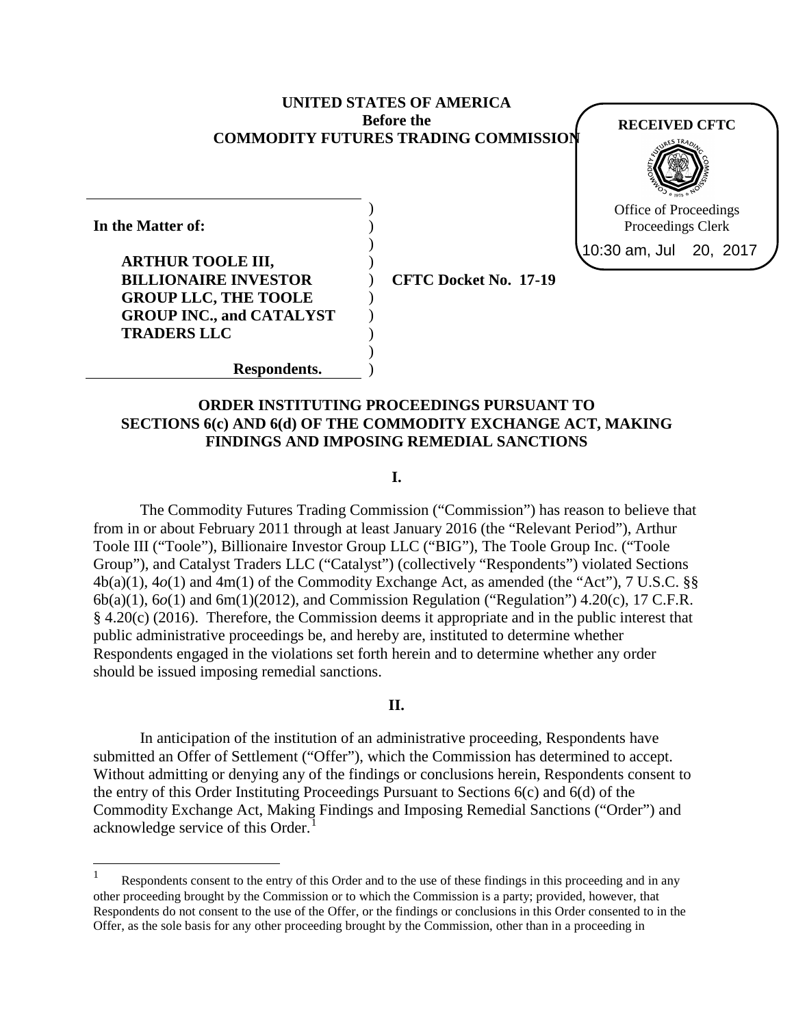### **UNITED STATES OF AMERICA Before the COMMODITY FUTURES TRADING COMMISSION**

) ) ) ) ) ) ) ) ) )

**In the Matter of: ARTHUR TOOLE III, BILLIONAIRE INVESTOR GROUP LLC, THE TOOLE GROUP INC., and CATALYST TRADERS LLC**

 $\overline{a}$ 

**Respondents.**

**CFTC Docket No. 17-19**

**RECEIVED CFTC**

Office of Proceedings Proceedings Clerk 10:30 am, Jul 20, 2017

## **ORDER INSTITUTING PROCEEDINGS PURSUANT TO SECTIONS 6(c) AND 6(d) OF THE COMMODITY EXCHANGE ACT, MAKING FINDINGS AND IMPOSING REMEDIAL SANCTIONS**

**I.**

The Commodity Futures Trading Commission ("Commission") has reason to believe that from in or about February 2011 through at least January 2016 (the "Relevant Period"), Arthur Toole III ("Toole"), Billionaire Investor Group LLC ("BIG"), The Toole Group Inc. ("Toole Group"), and Catalyst Traders LLC ("Catalyst") (collectively "Respondents") violated Sections 4b(a)(1), 4*o*(1) and 4m(1) of the Commodity Exchange Act, as amended (the "Act"), 7 U.S.C. §§ 6b(a)(1), 6*o*(1) and 6m(1)(2012), and Commission Regulation ("Regulation") 4.20(c), 17 C.F.R. § 4.20(c) (2016). Therefore, the Commission deems it appropriate and in the public interest that public administrative proceedings be, and hereby are, instituted to determine whether Respondents engaged in the violations set forth herein and to determine whether any order should be issued imposing remedial sanctions.

#### **II.**

 In anticipation of the institution of an administrative proceeding, Respondents have submitted an Offer of Settlement ("Offer"), which the Commission has determined to accept. Without admitting or denying any of the findings or conclusions herein, Respondents consent to the entry of this Order Instituting Proceedings Pursuant to Sections 6(c) and 6(d) of the Commodity Exchange Act, Making Findings and Imposing Remedial Sanctions ("Order") and acknowledge service of this Order.<sup>[1](#page-0-0)</sup>

<span id="page-0-0"></span>Respondents consent to the entry of this Order and to the use of these findings in this proceeding and in any other proceeding brought by the Commission or to which the Commission is a party; provided, however, that Respondents do not consent to the use of the Offer, or the findings or conclusions in this Order consented to in the Offer, as the sole basis for any other proceeding brought by the Commission, other than in a proceeding in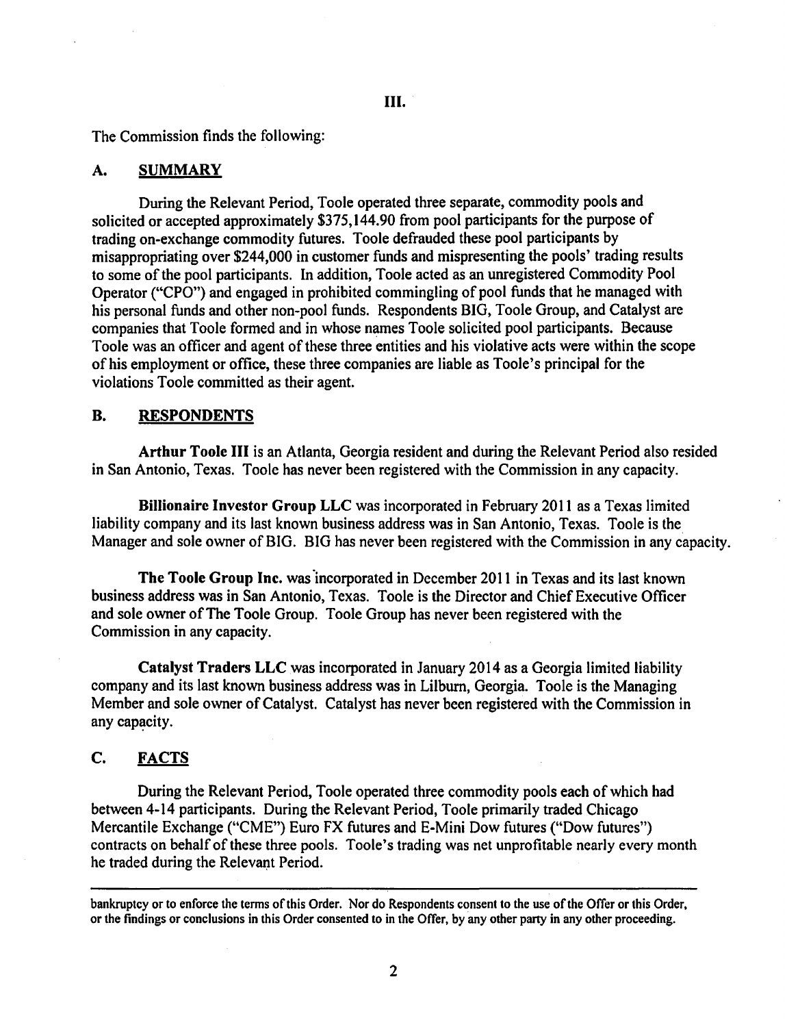The Commission finds the following:

#### A. SUMMARY

During the Relevant Period, Toole operated three separate, commodity pools and solicited or accepted approximately \$375,144.90 from pool participants for the purpose of trading on-exchange commodity futures. Toole defrauded these pool participants by misappropriating over \$244,000 in customer funds and mispresenting the pools' trading results to some of the pool participants. In addition, Toole acted as an unregistered Commodity Pool Operator ("CPO") and engaged in prohibited commingling of pool funds that he managed with his personal funds and other non-pool funds. Respondents BIG, Toole Group, and Catalyst are companies that Toole formed and in whose names Toole solicited pool participants. Because Toole was an officer and agent of these three entities and his violative acts were within the sco pe of his employment or office, these three companies are liable as Toole's principal for the violations Toole committed as their agent.

#### B. RESPONDENTS

Arthur Toole III is an Atlanta, Georgia resident and during the Relevant Period also resided in San Antonio, Texas. Toole has never been registered with the Commission in any capacity.

Billionaire Investor Group LLC was incorporated in February 2011 as a Texas limited liability company and its last known business address was in San Antonio, Texas. Toole is the Manager and sole owner of BIG. BIG has never been registered with the Commission in any capacity.

The Toole Group Inc. was incorporated in December 2011 in Texas and its last known business address was in San Antonio, Texas. Toole is the Director and Chief Executive Officer and sole owner of The Toole Group. Toole Group has never been registered with the Commission in any capacity.

Catalyst Traders LLC was incorporated in January 2014 as a Georgia limited liability company and its last known business address was in Lilburn, Georgia. Toole is the Managing Member and sole owner of Catalyst. Catalyst has never been registered with the Commission in any capacity.

### C. FACTS

During the Relevant Period, Toole operated three commodity pools each of which had between 4-14 participants. During the Relevant Period, Toole primarily traded Chicago Mercantile Exchange ("CME") Euro FX futures and E-Mini Dow futures ("Dow futures") contracts on behalf of these three pools. Toole's trading was net unprofitable nearly every month he traded during the Relevant Period.

bankruptcy or to enforce the terms of this Order. Nor do Respondents consent to the use of the Offer or this Order, or the findings or conclusions in this Order consented to in the Offer, by any other party in any other proceeding.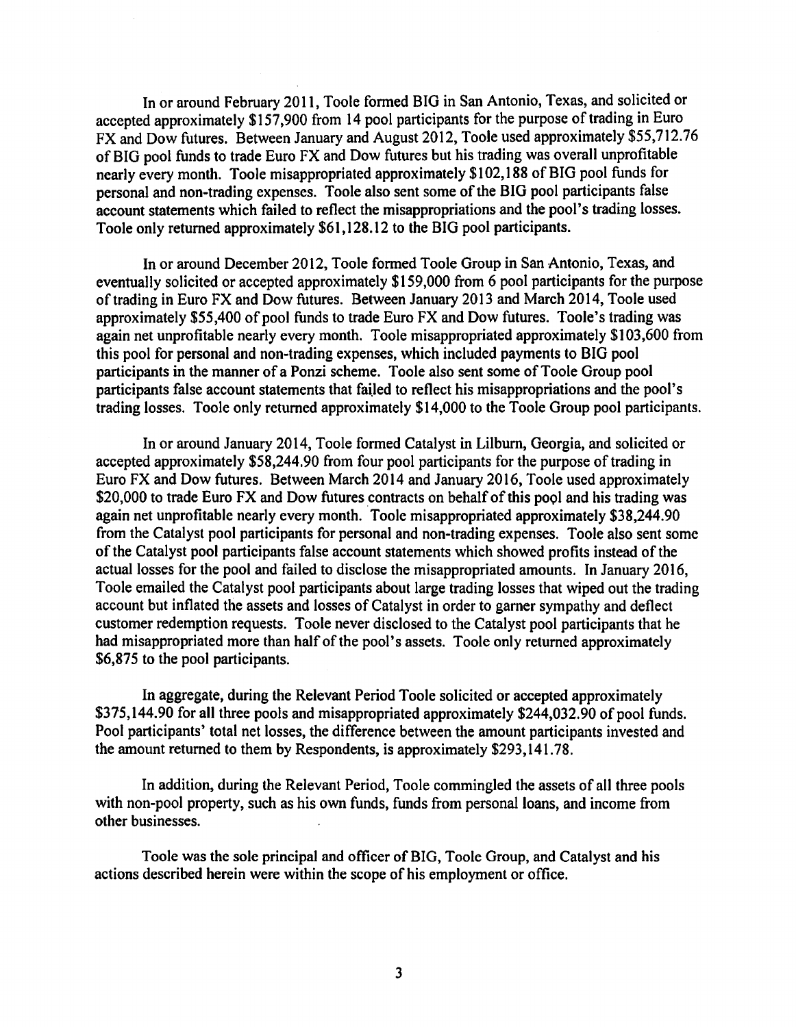In or around February 2011, Toole fonned BIG in San Antonio, Texas, and solicited or accepted approximately \$157,900 from 14 pool participants for the purpose of trading in Euro FX and Dow futures. Between January and August 2012, Toole used approximately \$55,712.76 of BIG pool funds to trade Euro FX and Dow futures but his trading was overall unprofitable nearly every month. Toole misappropriated approximately \$102, 188 of BIG pool funds for personal and non-trading expenses. Toole also sent some of the BIG pool participants false account statements which failed to reflect the misappropriations and the pool's trading losses. Toole only returned approximately \$61, 128.12 to the BIG pool participants.

In or around December 2012, Toole fonned Toole Group in San Antonio, Texas, and eventually solicited or accepted approximately \$159 ,000 from 6 pool participants for the purpose of trading in Euro FX and Dow futures. Between January 2013 and March 2014, Toole used approximately \$55,400 of pool funds to trade Euro FX and Dow futures. Toole's trading was again net unprofitable nearly every month. Toole misappropriated approximately \$103,600 from this pool for personal and non-trading expenses, which included payments to BIG pool participants in the manner of a Ponzi scheme. Toole also sent some of Toole Group pool participants false account statements that failed to reflect his misappropriations and the pool's trading losses. Toole only returned approximately \$14,000 to the Toole Group pool participants.

In or around January 2014, Toole fonned Catalyst in Lilburn, Georgia, and solicited or accepted approximately \$58,244.90 from four pool participants for the purpose of trading in Euro FX and Dow futures. Between March 2014 and January 2016, Toole used approximately \$20,000 to trade Euro FX and Dow futures contracts on behalf of this pool and his trading was again net unprofitable nearly every month. Toole misappropriated approximately \$38,244.90 from the Catalyst pool participants for personal and non-trading expenses. Toole also sent some of the Catalyst pool participants false account statements which showed profits instead of the actual losses for the pool and failed to disclose the misappropriated amounts. In January 2016, Toole emailed the Catalyst pool participants about large trading losses that wiped out the trading account but inflated the assets and losses of Catalyst in order to gamer sympathy and deflect customer redemption requests. Toole never disclosed to the Catalyst pool participants that he had misappropriated more than half of the pool's assets. Toole only returned approximately \$6,875 to the pool participants.

In aggregate, during the Relevant Period Toole solicited or accepted approximately \$375,144.90 for all three pools and misappropriated approximately \$244,032.90 of pool funds. Pool participants' total net losses, the difference between the amount participants invested and the amount returned to them by Respondents, is approximately \$293,141.78.

In addition, during the Relevant Period, Toole commingled the assets of all three pools with non-pool property, such as his own funds, funds from personal loans, and income from other businesses.

Toole was the sole principal and officer of BIG, Toole Group, and Catalyst and his actions described herein were within the scope of his employment or office.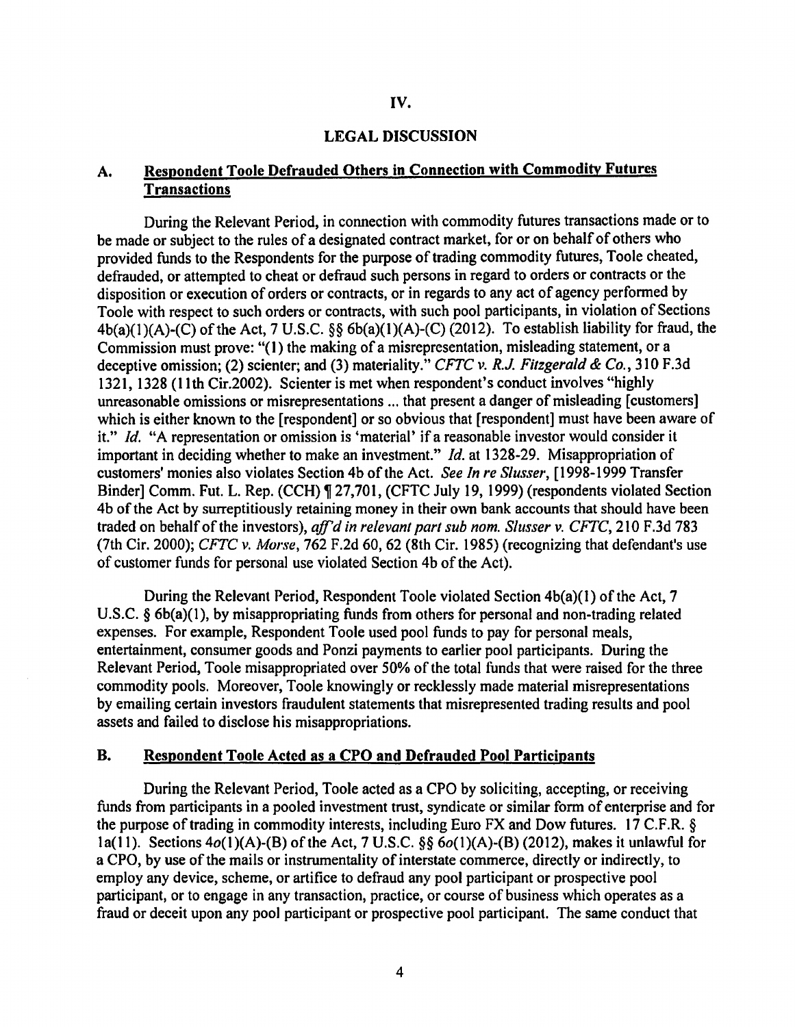#### LEGAL DISCUSSION

# A. Respondent Toole Defrauded Others in Connection with Commodity Futures **Transactions**

During the Relevant Period, in connection with commodity futures transactions made or to be made or subject to the rules of a designated contract market, for or on behalf of others who provided funds to the Respondents for the purpose of trading commodity futures, Toole cheated, defrauded, or attempted to cheat or defraud such persons in regard to orders or contracts or the disposition or execution of orders or contracts, or in regards to any act of agency performed by Toole with respect to such orders or contracts, with such pool participants, in violation of Sections  $4b(a)(1)(A)-(C)$  of the Act, 7 U.S.C. §§  $6b(a)(1)(A)-(C)$  (2012). To establish liability for fraud, the Commission must prove: "(I) the making of a misrepresentation, misleading statement, or a deceptive omission; (2) scienter; and (3) materiality." *CFTC v. R.J. Fitzgerald & Co.,* 310 F.3d 1321, 1328 (I Ith Cir.2002). Scienter is met when respondent's conduct involves "highly unreasonable omissions or misrepresentations ... that present a danger of misleading [customers] which is either known to the [respondent] or so obvious that [respondent] must have been aware of it." *Id.* "A representation or omission is 'material' if a reasonable investor would consider it important in deciding whether to make an investment." *Id.* at 1328-29. Misappropriation of customers' monies also violates Section 4b of the Act. *See In re Slusser,* [ 1998-1999 Transfer Binder] Comm. Fut. L. Rep. (CCH) ¶ 27,701, (CFTC July 19, 1999) (respondents violated Section 4b of the Act by surreptitiously retaining money in their own bank accounts that should have been traded on behalf of the investors), *ajf'd in relevant part sub nom. Slusser v. CFTC,* 210 F.3d 783 (7th Cir. 2000); *CFTC v. Morse,* 762 F.2d 60, 62 (8th Cir. 1985) (recognizing that defendant's use of customer funds for personal use violated Section 4b of the Act).

During the Relevant Period, Respondent Toole violated Section 4b(a)(l) of the Act, 7 U.S.C. § 6b(a)(l), by misappropriating funds from others for personal and non-trading related expenses. For example, Respondent Toole used pool funds to pay for personal meals, entertainment, consumer goods and Ponzi payments to earlier pool participants. During the Relevant Period, Toole misappropriated over 50% of the total funds that were raised for the three commodity pools. Moreover, Toole knowingly or recklessly made material misrepresentations by emailing certain investors fraudulent statements that misrepresented trading results and pool assets and failed to disclose his misappropriations.

## B. Respondent Toole Acted as a CPO and Defrauded Pool Participants

During the Relevant Period, Toole acted as a CPO by soliciting, accepting, or receiving funds from participants in a pooled investment trust, syndicate or similar form of enterprise and for the purpose of trading in commodity interests, including Euro FX and Dow futures. 17 C.F.R. § la(11). Sections  $4o(1)(A)-(B)$  of the Act, 7 U.S.C. §§  $6o(1)(A)-(B)$  (2012), makes it unlawful for a CPO, by use of the mails or instrumentality of interstate commerce, directly or indirectly, to employ any device, scheme, or artifice to defraud any pool participant or prospective pool participant, or to engage in any transaction, practice, or course of business which operates as a fraud or deceit upon any pool participant or prospective pool participant. The same conduct that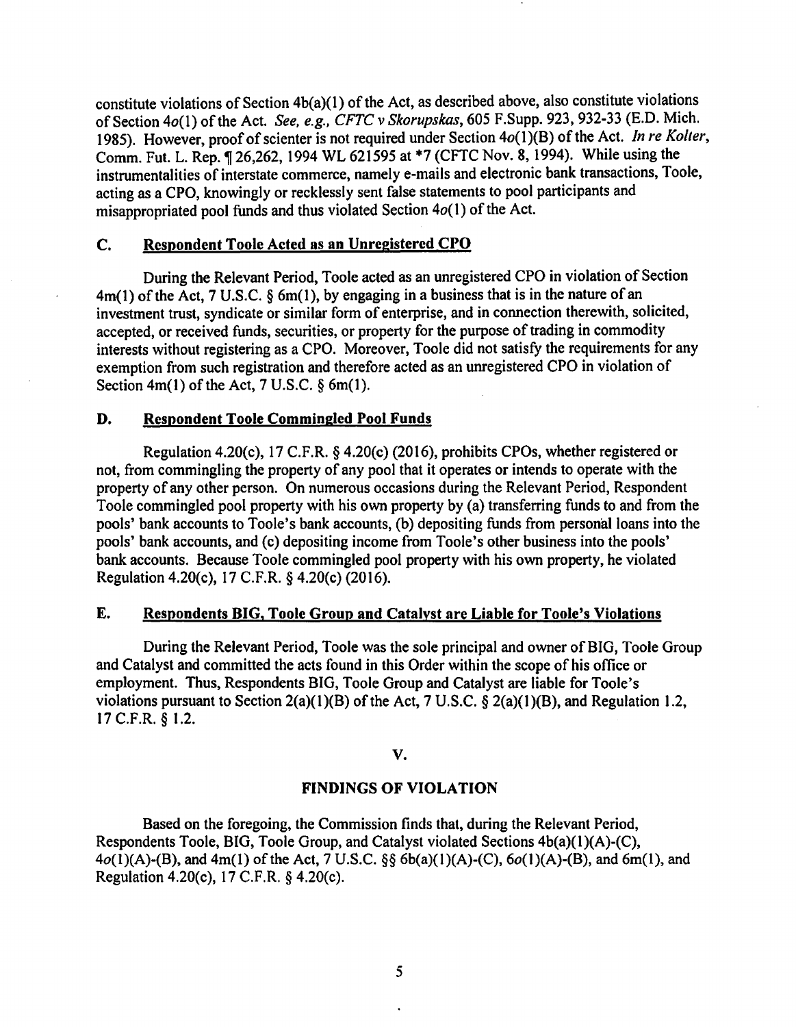constitute violations of Section 4b(a)(l) of the Act, as described above, also constitute violations of Section 4o(l) of the Act. *See, e.g .. CFTC v Skorupskas,* 605 F.Supp. 923, 932-33 (E.D. Mich. 1985). However, proof of scienter is not required under Section 4o(1)(B) of the Act. *In re Kolter*, Comm. Fut. L. Rep. ¶ 26,262, 1994 WL 621595 at \*7 (CFTC Nov. 8, 1994). While using the instrumentalities of interstate commerce, namely e-mails and electronic bank transactions, Toole, acting as a CPO, knowingly or recklessly sent false statements to pool participants and misappropriated pool funds and thus violated Section  $4o(1)$  of the Act.

## C. Respondent Toole Acted as an Unregistered CPO

During the Relevant Period, Toole acted as an unregistered CPO in violation of Section  $4m(1)$  of the Act, 7 U.S.C. § 6m(1), by engaging in a business that is in the nature of an investment trust, syndicate or similar form of enterprise, and in connection therewith, solicited, accepted, or received funds, securities, or property for the purpose of trading in commodity interests without registering as a CPO. Moreover, Toole did not satisfy the requirements for any exemption from such registration and therefore acted as an unregistered CPO in violation of Section  $4m(1)$  of the Act, 7 U.S.C.  $\S$  6m(1).

### D. Respondent Toole Commingled Pool Funds

Regulation 4.20(c), 17 C.F.R. § 4.20(c) (2016), prohibits CPOs, whether registered or not, from commingling the property of any pool that it operates or intends to operate with the property of any other person. On numerous occasions during the Relevant Period, Respondent Toole commingled pool property with his own property by (a) transferring funds to and from the pools' bank accounts to Toole's bank accounts, (b) depositing funds from personal loans into the pools' bank accounts, and (c) depositing income from Toole's other business into the pools' bank accounts. Because Toole commingled pool property with his own property, he violated Regulation 4.20(c), 17 C.F.R. § 4.20(c) (2016).

## E. Respondents BIG, Toole Group and Catalyst are Liable for Toole's Violations

During the Relevant Period, Toole was the sole principal and owner of BIG, Toole Group and Catalyst and committed the acts found in this Order within the scope of his office or employment. Thus, Respondents BIG, Toole Group and Catalyst are liable for Toole's violations pursuant to Section  $2(a)(1)(B)$  of the Act, 7 U.S.C. §  $2(a)(1)(B)$ , and Regulation 1.2, 17 C.F.R. § 1.2.

v.

## FINDINGS OF VIOLATION

Based on the foregoing, the Commission finds that, during the Relevant Period, Respondents Toole, BIG, Toole Group, and Catalyst violated Sections 4b(a)(l)(A)-(C),  $4o(1)(A)-(B)$ , and  $4m(1)$  of the Act, 7 U.S.C. §§ 6b(a)(1)(A)-(C),  $6o(1)(A)-(B)$ , and 6m(1), and Regulation 4.20(c), 17 C.F.R. § 4.20(c).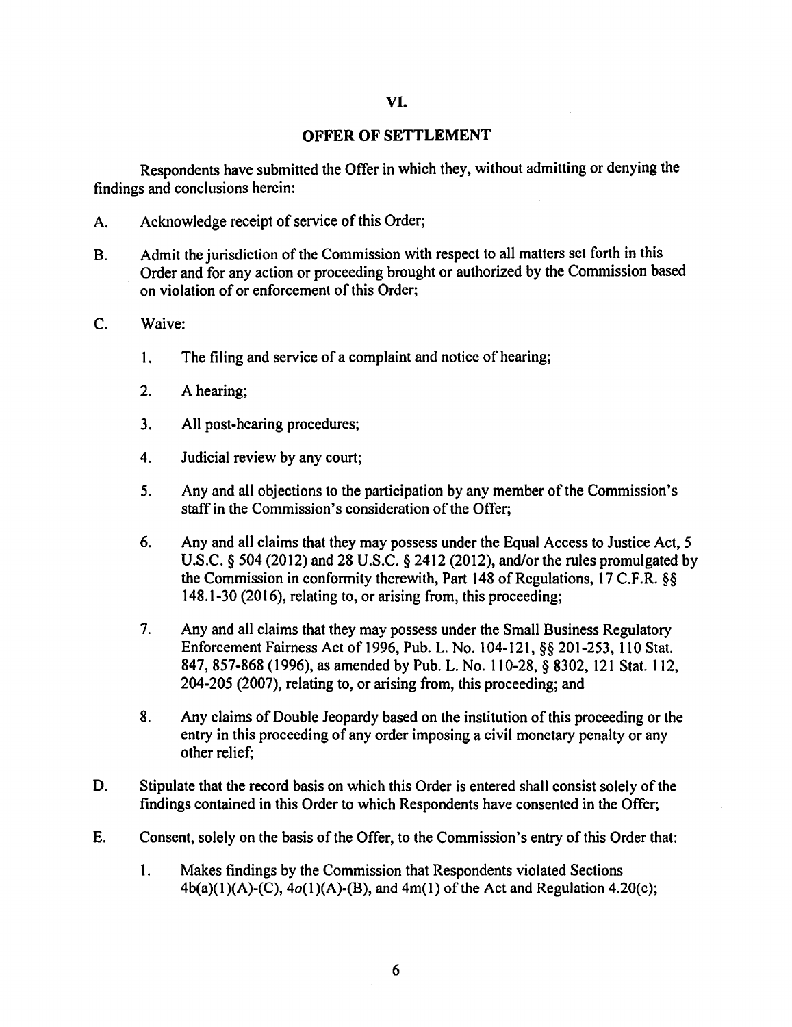### VI.

#### OFFER OF SETTLEMENT

Respondents have submitted the Offer in which they, without admitting or denying the findings and conclusions herein:

- A. Acknowledge receipt of service of this Order;
- B. Admit the jurisdiction of the Commission with respect to all matters set forth in this Order and for any action or proceeding brought or authorized by the Commission based on violation of or enforcement of this Order;
- C. Waive:
	- 1. The filing and service of a complaint and notice of hearing;
	- 2. A hearing;
	- 3. All post-hearing procedures;
	- 4. Judicial review by any court;
	- 5. Any and all objections to the participation by any member of the Commission's staff in the Commission's consideration of the Offer;
	- 6. Any and all claims that they may possess under the Equal Access to Justice Act, 5 U.S.C. *§* 504 (2012) and 28 U.S.C. *§* 2412 (2012), and/or the rules promulgated by the Commission in conformity therewith, Part 148 of Regulations, 17 C.F.R. §§ 148.1-30 (2016), relating to, or arising from, this proceeding;
	- 7. Any and all claims that they may possess under the Small Business Regulatory Enforcement Fairness Act of 1996, Pub. L. No. 104-121, §§ 201-253, 110 Stat. 847, 857-868 (1996), as amended by Pub. L. No. 110-28, § 8302, 121 Stat. 112, 204-205 (2007), relating to, or arising from, this proceeding; and
	- 8. Any claims of Double Jeopardy based on the institution of this proceeding or the entry in this proceeding of any order imposing a civil monetary penalty or any other relief;
- D. Stipulate that the record basis on which this Order is entered shall consist solely of the findings contained in this Order to which Respondents have consented in the Offer;
- E. Consent, solely on the basis of the Offer, to the Commission's entry of this Order that:
	- 1. Makes findings by the Commission that Respondents violated Sections  $4b(a)(1)(A)-(C)$ ,  $4o(1)(A)-(B)$ , and  $4m(1)$  of the Act and Regulation 4.20(c);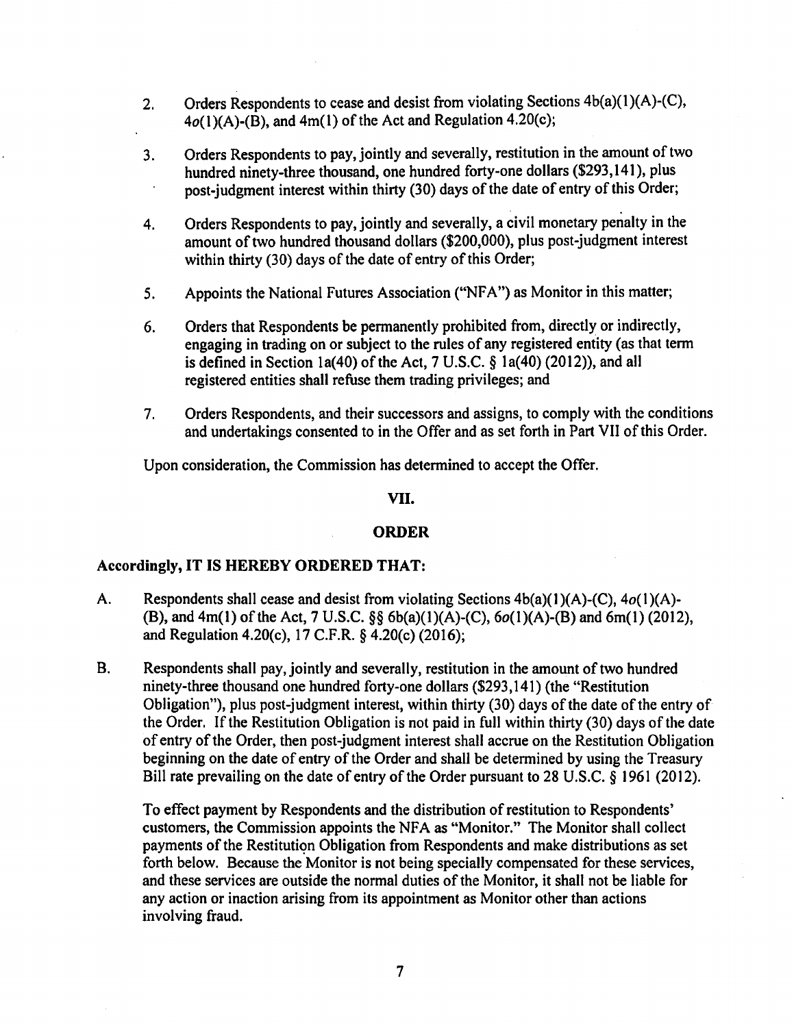- 2. Orders Respondents to cease and desist from violating Sections  $4b(a)(1)(A)-(C)$ ,  $4o(1)(A)-(B)$ , and  $4m(1)$  of the Act and Regulation 4.20(c);
- 3. Orders Respondents to pay, jointly and severally, restitution in the amount of two hundred ninety-three thousand, one hundred forty-one dollars (\$293,141), plus post-judgment interest within thirty (30) days of the date of entry of this Order;
- 4. Orders Respondents to pay, jointly and severally, a civil monetary penalty in the amount of two hundred thousand dollars (\$200,000), plus post-judgment interest within thirty (30) days of the date of entry of this Order;
- 5. Appoints the National Futures Association ("NFA") as Monitor in this matter;
- 6. Orders that Respondents be permanently prohibited from, directly or indirectly, engaging in trading on or subject to the rules of any registered entity (as that term is defined in Section la(40) of the Act, 7 U.S.C. § la(40) (2012)), and all registered entities shall refuse them trading privileges; and
- 7. Orders Respondents, and their successors and assigns, to comply with the conditions and undertakings consented to in the Offer and as set forth in Part VII of this Order.

Upon consideration, the Commission has determined to accept the Offer.

## VII.

## ORDER

## Accordingly, IT IS HEREBY ORDERED THAT:

- A. Respondents shall cease and desist from violating Sections  $4b(a)(1)(A)-(C)$ ,  $4o(1)(A)-$ (B), and 4m(l) of the Act, 7 U.S.C. §§ 6b(a)(l)(A)-(C), 6o(l)(A)-(B) and 6m(l) (2012), and Regulation 4.20(c), 17 C.F.R. § 4.20(c) (2016);
- B. Respondents shall pay, jointly and severally, restitution in the amount of two hundred ninety-three thousand one hundred forty-one dollars (\$293, 141) (the "Restitution Obligation"), plus post-judgment interest, within thirty (30) days of the date of the entry of the Order. If the Restitution Obligation is not paid in full within thirty (30) days of the date of entry of the Order, then post-judgment interest shall accrue on the Restitution Obligation beginning on the date of entry of the Order and shall be determined by using the Treasury Bill rate prevailing on the date of entry of the Order pursuant to 28 U.S.C. § 1961 (2012).

To effect payment by Respondents and the distribution of restitution to Respondents' customers, the Commission appoints the NFA as "Monitor." The Monitor shall collect payments of the Restitution Obligation from Respondents and make distributions as set forth below. Because the Monitor is not being specially compensated for these services, and these services are outside the normal duties of the Monitor, it shall not be liable for any action or inaction arising from its appointment as Monitor other than actions involving fraud.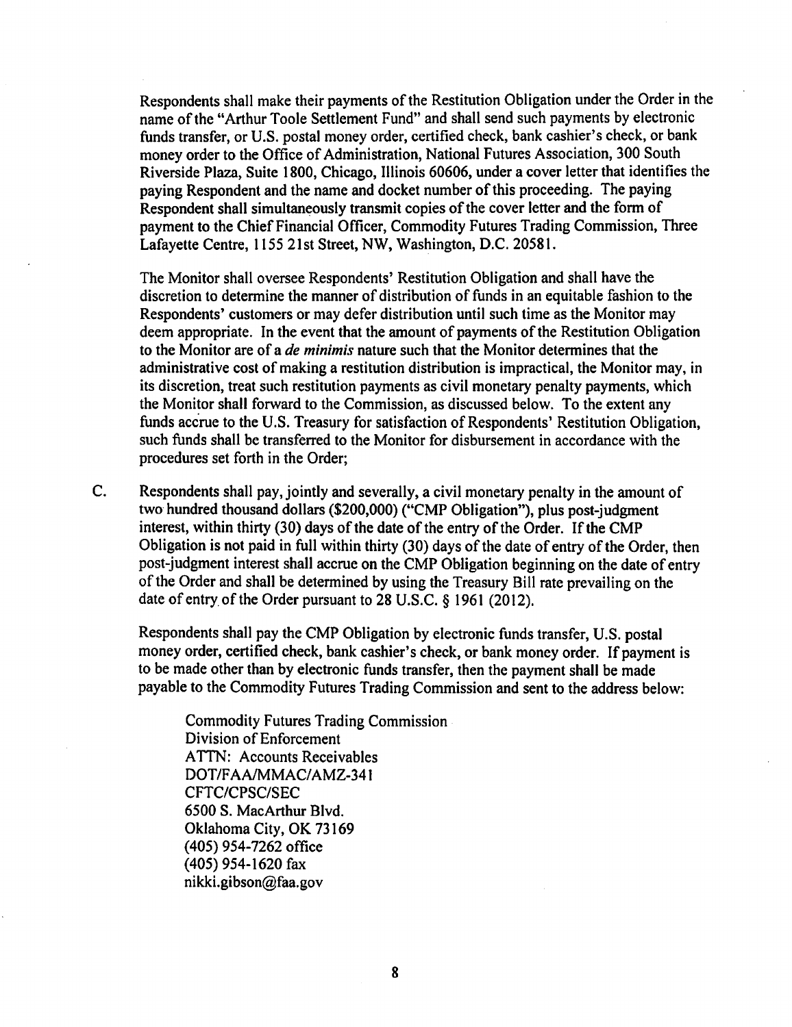Respondents shall make their payments of the Restitution Obligation under the Order in the name of the "Arthur Toole Settlement Fund" and shall send such payments by electronic funds transfer, or U.S. postal money order, certified check, bank cashier's check, or bank money order to the Office of Administration, National Futures Association, 300 South Riverside Plaza, Suite 1800, Chicago, Illinois 60606, under a cover letter that identifies the paying Respondent and the name and docket number of this proceeding. The paying Respondent shall simultaneously transmit copies of the cover letter and the form of payment to the Chief Financial Officer, Commodity Futures Trading Commission, Three Lafayette Centre, 1155 21st Street, NW, Washington, D.C. 20581.

The Monitor shall oversee Respondents' Restitution Obligation and shall have the discretion to determine the manner of distribution of funds in an equitable fashion to the Respondents' customers or may defer distribution until such time as the Monitor may deem appropriate. In the event that the amount of payments of the Restitution Obligation to the Monitor are of a *de minimis* nature such that the Monitor determines that the administrative cost of making a restitution distribution is impractical, the Monitor may, in its discretion, treat such restitution payments as civil monetary penalty payments, which the Monitor shall forward to the Commission, as discussed below. To the extent any funds accrue to the U.S. Treasury for satisfaction of Respondents' Restitution Obligation, such funds shall be transferred to the Monitor for disbursement in accordance with the procedures set forth in the Order;

C. Respondents shall pay, jointly and severally, a civil monetary penalty in the amount of two hundred thousand dollars (\$200,000) ("CMP Obligation"), plus post-judgment interest, within thirty (30) days of the date of the entry of the Order. If the CMP Obligation is not paid in full within thirty (30) days of the date of entry of the Order, then post-judgment interest shall accrue on the CMP Obligation beginning on the date of entry of the Order and shall be determined by using the Treasury Bill rate prevailing on the date of entry. of the Order pursuant to 28 U.S.C. § 1961 (2012).

Respondents shall pay the CMP Obligation by electronic funds transfer, U.S. postal money order, certified check, bank cashier's check, or bank money order. If payment is to be made other than by electronic funds transfer, then the payment shall be made payable to the Commodity Futures Trading Commission and sent to the address below:

Commodity Futures Trading Commission Division of Enforcement ATTN: Accounts Receivables DOT/FAA/MMAC/AMZ-341 CFTC/CPSC/SEC 6500 S. MacArthur Blvd. Oklahoma City, OK 73169 ( 405) 954-7262 office ( 405) 954-1620 fax nikki.gibson@faa.gov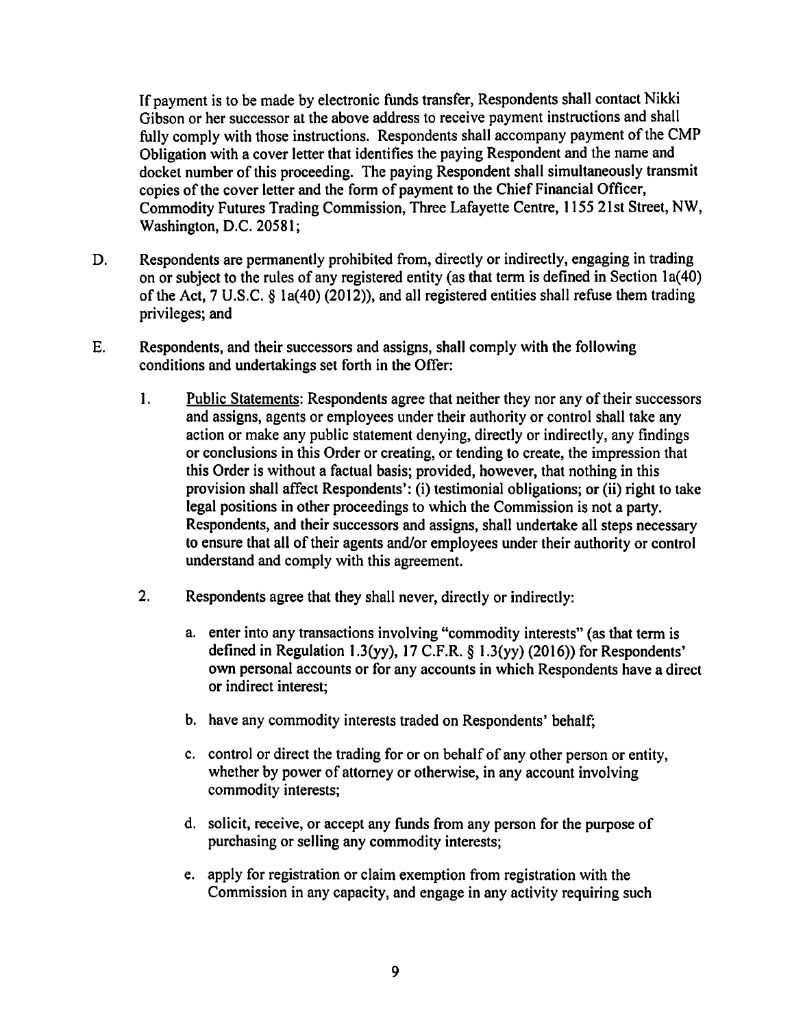If payment is to be made by electronic funds transfer, Respondents shall contact Nikki Gibson or her successor at the above address to receive payment instructions and shall fully comply with those instructions. Respondents shall accompany payment of the CMP Obligation with a cover letter that identifies the paying Respondent and the name and docket number of this proceeding. The paying Respondent shall simultaneously transmit copies of the cover letter and the form of payment to the Chief Financial Officer, Commodity Futures Trading Commission, Three Lafayette Centre, 1155 21st Street, NW, Washington, D.C. 20581;

- D. Respondents are permanently prohibited from, directly or indirectly, engaging in trading on or subject to the rules of any registered entity (as that term is defined in Section 1a(40) of the Act, 7 U.S.C. § la(40) (2012)), and all registered entities shall refuse them trading privileges; and
- E. Respondents, and their successors and assigns, shall comply with the following conditions and undertakings set forth in the Offer:
	- 1. Public Statements: Respondents agree that neither they nor any of their successors and assigns, agents or employees under their authority or control shall take any action or make any public statement denying, directly or indirectly, any findings or conclusions in this Order or creating, or tending to create, the impression that this Order is without a factual basis; provided, however, that nothing in this provision shall affect Respondents': (i) testimonial obligations; or (ii) right to take legal positions in other proceedings to which the Commission is not a party. Respondents, and their successors and assigns, shall undertake all steps necessary to ensure that all of their agents and/or employees under their authority or control understand and comply with this agreement.
	- 2. Respondents agree that they shall never, directly or indirectly:
		- a. enter into any transactions involving "commodity interests" (as that term is defined in Regulation 1.3(yy), 17 C.F.R.  $\S$  1.3(yy) (2016)) for Respondents' own personal accounts or for any accounts in which Respondents have a direct or indirect interest;
		- b. have any commodity interests traded on Respondents' behalf;
		- c. control or direct the trading for or on behalf of any other person or entity, whether by power of attorney or otherwise, in any account involving commodity interests;
		- d. solicit, receive, or accept any funds from any person for the purpose of purchasing or selling any commodity interests;
		- e. apply for registration or claim exemption from registration with the Commission in any capacity, and engage in any activity requiring such